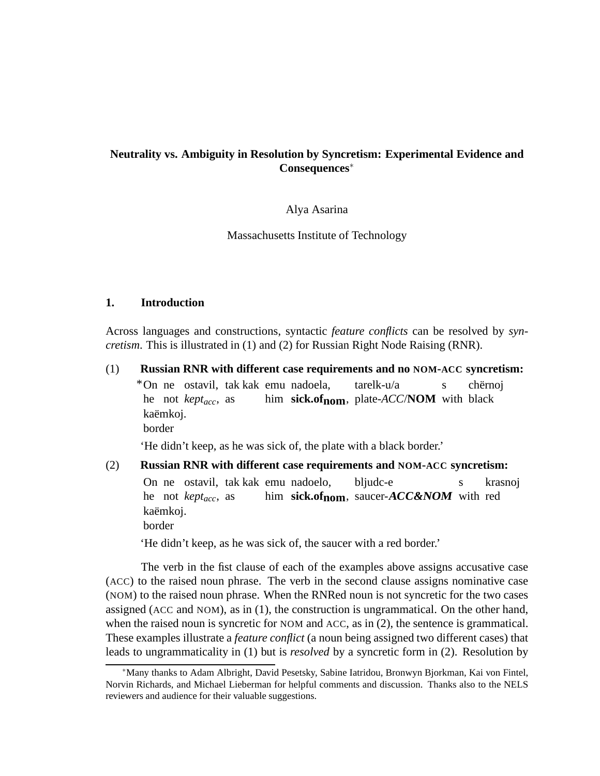# **Neutrality vs. Ambiguity in Resolution by Syncretism: Experimental Evidence and Consequences**<sup>∗</sup>

#### Alya Asarina

Massachusetts Institute of Technology

#### **1. Introduction**

Across languages and constructions, syntactic *feature conflicts* can be resolved by *syncretism*. This is illustrated in (1) and (2) for Russian Right Node Raising (RNR).

(1) **Russian RNR with different case requirements and no NOM-ACC syncretism:** \*On ne ostavil, tak kak emu nadoela, he not *keptacc*, as him **sick.ofnom**, plate-*ACC*/**NOM** with black tarelk-u/a s chërnoi kaëmkoj. border

'He didn't keep, as he was sick of, the plate with a black border.'

(2) **Russian RNR with different case requirements and NOM-ACC syncretism:** On ne ostavil, tak kak emu nadoelo, he not *keptacc*, as him sick.of<sub>nom</sub>, saucer-*ACC&NOM* with red bljudc-e s krasnoj kaëmkoj. border

'He didn't keep, as he was sick of, the saucer with a red border.'

The verb in the fist clause of each of the examples above assigns accusative case (ACC) to the raised noun phrase. The verb in the second clause assigns nominative case (NOM) to the raised noun phrase. When the RNRed noun is not syncretic for the two cases assigned (ACC and NOM), as in (1), the construction is ungrammatical. On the other hand, when the raised noun is syncretic for NOM and ACC, as in (2), the sentence is grammatical. These examples illustrate a *feature conflict* (a noun being assigned two different cases) that leads to ungrammaticality in (1) but is *resolved* by a syncretic form in (2). Resolution by

<sup>∗</sup>Many thanks to Adam Albright, David Pesetsky, Sabine Iatridou, Bronwyn Bjorkman, Kai von Fintel, Norvin Richards, and Michael Lieberman for helpful comments and discussion. Thanks also to the NELS reviewers and audience for their valuable suggestions.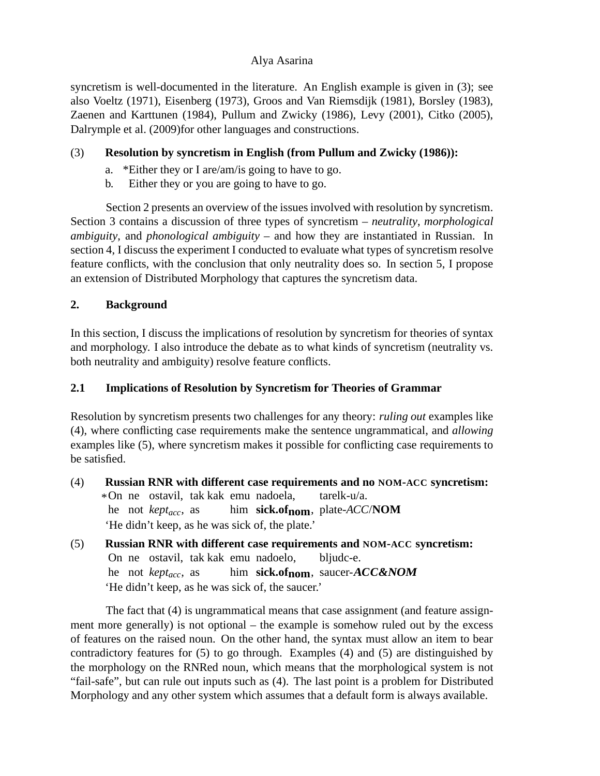syncretism is well-documented in the literature. An English example is given in (3); see also Voeltz (1971), Eisenberg (1973), Groos and Van Riemsdijk (1981), Borsley (1983), Zaenen and Karttunen (1984), Pullum and Zwicky (1986), Levy (2001), Citko (2005), Dalrymple et al. (2009)for other languages and constructions.

# (3) **Resolution by syncretism in English (from Pullum and Zwicky (1986)):**

- a. \*Either they or I are/am/is going to have to go.
- b. Either they or you are going to have to go.

Section 2 presents an overview of the issues involved with resolution by syncretism. Section 3 contains a discussion of three types of syncretism – *neutrality*, *morphological ambiguity*, and *phonological ambiguity* – and how they are instantiated in Russian. In section 4, I discuss the experiment I conducted to evaluate what types of syncretism resolve feature conflicts, with the conclusion that only neutrality does so. In section 5, I propose an extension of Distributed Morphology that captures the syncretism data.

# **2. Background**

In this section, I discuss the implications of resolution by syncretism for theories of syntax and morphology. I also introduce the debate as to what kinds of syncretism (neutrality vs. both neutrality and ambiguity) resolve feature conflicts.

# **2.1 Implications of Resolution by Syncretism for Theories of Grammar**

Resolution by syncretism presents two challenges for any theory: *ruling out* examples like (4), where conflicting case requirements make the sentence ungrammatical, and *allowing* examples like (5), where syncretism makes it possible for conflicting case requirements to be satisfied.

- (4) **Russian RNR with different case requirements and no NOM-ACC syncretism:** \*On ne ostavil, tak kak emu nadoela, he not *keptacc*, as him **sick.ofnom**, plate-*ACC*/**NOM** tarelk-u/a. 'He didn't keep, as he was sick of, the plate.'
- (5) **Russian RNR with different case requirements and NOM-ACC syncretism:** On ne ostavil, tak kak emu nadoelo, he not *keptacc*, as him **sick.ofnom**, saucer-**ACC&NOM** bliudc-e. 'He didn't keep, as he was sick of, the saucer.'

The fact that (4) is ungrammatical means that case assignment (and feature assignment more generally) is not optional – the example is somehow ruled out by the excess of features on the raised noun. On the other hand, the syntax must allow an item to bear contradictory features for (5) to go through. Examples (4) and (5) are distinguished by the morphology on the RNRed noun, which means that the morphological system is not "fail-safe", but can rule out inputs such as (4). The last point is a problem for Distributed Morphology and any other system which assumes that a default form is always available.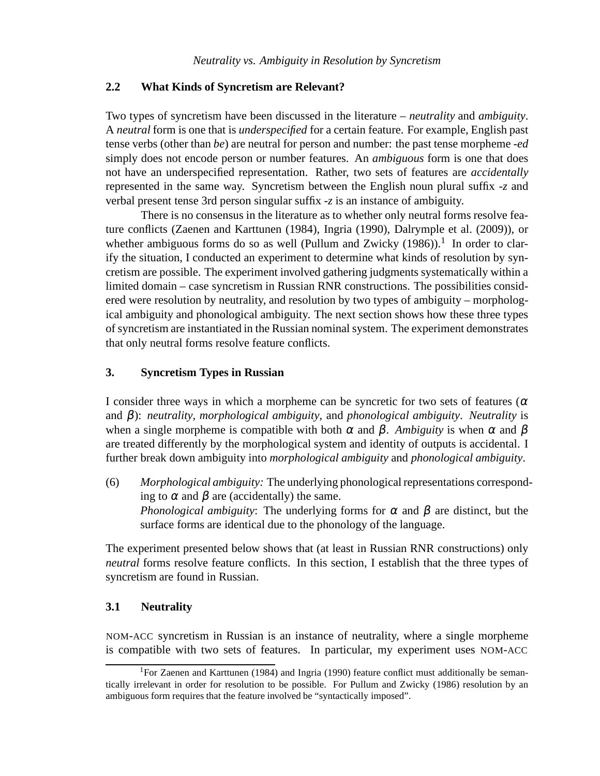## **2.2 What Kinds of Syncretism are Relevant?**

Two types of syncretism have been discussed in the literature – *neutrality* and *ambiguity*. A *neutral* form is one that is *underspecified* for a certain feature. For example, English past tense verbs (other than *be*) are neutral for person and number: the past tense morpheme -*ed* simply does not encode person or number features. An *ambiguous* form is one that does not have an underspecified representation. Rather, two sets of features are *accidentally* represented in the same way. Syncretism between the English noun plural suffix -*z* and verbal present tense 3rd person singular suffix -*z* is an instance of ambiguity.

There is no consensus in the literature as to whether only neutral forms resolve feature conflicts (Zaenen and Karttunen (1984), Ingria (1990), Dalrymple et al. (2009)), or whether ambiguous forms do so as well (Pullum and Zwicky  $(1986)$ ).<sup>1</sup> In order to clarify the situation, I conducted an experiment to determine what kinds of resolution by syncretism are possible. The experiment involved gathering judgments systematically within a limited domain – case syncretism in Russian RNR constructions. The possibilities considered were resolution by neutrality, and resolution by two types of ambiguity – morphological ambiguity and phonological ambiguity. The next section shows how these three types of syncretism are instantiated in the Russian nominal system. The experiment demonstrates that only neutral forms resolve feature conflicts.

## **3. Syncretism Types in Russian**

I consider three ways in which a morpheme can be syncretic for two sets of features ( $\alpha$ ) and β): *neutrality*, *morphological ambiguity*, and *phonological ambiguity*. *Neutrality* is when a single morpheme is compatible with both  $\alpha$  and  $\beta$ . *Ambiguity* is when  $\alpha$  and  $\beta$ are treated differently by the morphological system and identity of outputs is accidental. I further break down ambiguity into *morphological ambiguity* and *phonological ambiguity*.

(6) *Morphological ambiguity:* The underlying phonological representations corresponding to  $\alpha$  and  $\beta$  are (accidentally) the same. *Phonological ambiguity*: The underlying forms for  $\alpha$  and  $\beta$  are distinct, but the surface forms are identical due to the phonology of the language.

The experiment presented below shows that (at least in Russian RNR constructions) only *neutral* forms resolve feature conflicts. In this section, I establish that the three types of syncretism are found in Russian.

## **3.1 Neutrality**

NOM-ACC syncretism in Russian is an instance of neutrality, where a single morpheme is compatible with two sets of features. In particular, my experiment uses NOM-ACC

<sup>&</sup>lt;sup>1</sup>For Zaenen and Karttunen (1984) and Ingria (1990) feature conflict must additionally be semantically irrelevant in order for resolution to be possible. For Pullum and Zwicky (1986) resolution by an ambiguous form requires that the feature involved be "syntactically imposed".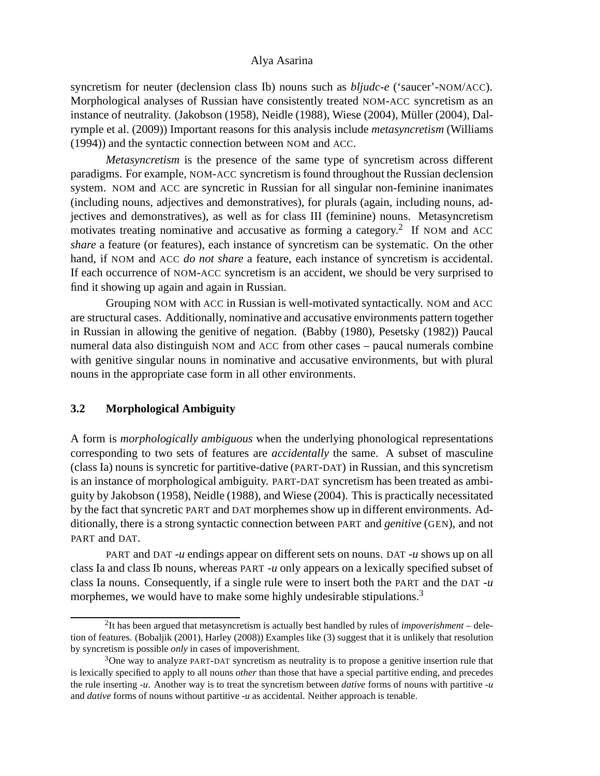syncretism for neuter (declension class Ib) nouns such as *bljudc-e* ('saucer'-NOM/ACC). Morphological analyses of Russian have consistently treated NOM-ACC syncretism as an instance of neutrality. (Jakobson (1958), Neidle (1988), Wiese (2004), Müller (2004), Dalrymple et al. (2009)) Important reasons for this analysis include *metasyncretism* (Williams (1994)) and the syntactic connection between NOM and ACC.

*Metasyncretism* is the presence of the same type of syncretism across different paradigms. For example, NOM-ACC syncretism is found throughout the Russian declension system. NOM and ACC are syncretic in Russian for all singular non-feminine inanimates (including nouns, adjectives and demonstratives), for plurals (again, including nouns, adjectives and demonstratives), as well as for class III (feminine) nouns. Metasyncretism motivates treating nominative and accusative as forming a category.<sup>2</sup> If NOM and ACC *share* a feature (or features), each instance of syncretism can be systematic. On the other hand, if NOM and ACC *do not share* a feature, each instance of syncretism is accidental. If each occurrence of NOM-ACC syncretism is an accident, we should be very surprised to find it showing up again and again in Russian.

Grouping NOM with ACC in Russian is well-motivated syntactically. NOM and ACC are structural cases. Additionally, nominative and accusative environments pattern together in Russian in allowing the genitive of negation. (Babby (1980), Pesetsky (1982)) Paucal numeral data also distinguish NOM and ACC from other cases – paucal numerals combine with genitive singular nouns in nominative and accusative environments, but with plural nouns in the appropriate case form in all other environments.

#### **3.2 Morphological Ambiguity**

A form is *morphologically ambiguous* when the underlying phonological representations corresponding to two sets of features are *accidentally* the same. A subset of masculine (class Ia) nouns is syncretic for partitive-dative (PART-DAT) in Russian, and this syncretism is an instance of morphological ambiguity. PART-DAT syncretism has been treated as ambiguity by Jakobson (1958), Neidle (1988), and Wiese (2004). This is practically necessitated by the fact that syncretic PART and DAT morphemes show up in different environments. Additionally, there is a strong syntactic connection between PART and *genitive* (GEN), and not PART and DAT.

PART and DAT -*u* endings appear on different sets on nouns. DAT -*u* shows up on all class Ia and class Ib nouns, whereas PART -*u* only appears on a lexically specified subset of class Ia nouns. Consequently, if a single rule were to insert both the PART and the DAT -*u* morphemes, we would have to make some highly undesirable stipulations.<sup>3</sup>

<sup>2</sup> It has been argued that metasyncretism is actually best handled by rules of *impoverishment* – deletion of features. (Bobaljik (2001), Harley (2008)) Examples like (3) suggest that it is unlikely that resolution by syncretism is possible *only* in cases of impoverishment.

<sup>&</sup>lt;sup>3</sup>One way to analyze PART-DAT syncretism as neutrality is to propose a genitive insertion rule that is lexically specified to apply to all nouns *other* than those that have a special partitive ending, and precedes the rule inserting -*u*. Another way is to treat the syncretism between *dative* forms of nouns with partitive -*u* and *dative* forms of nouns without partitive -*u* as accidental. Neither approach is tenable.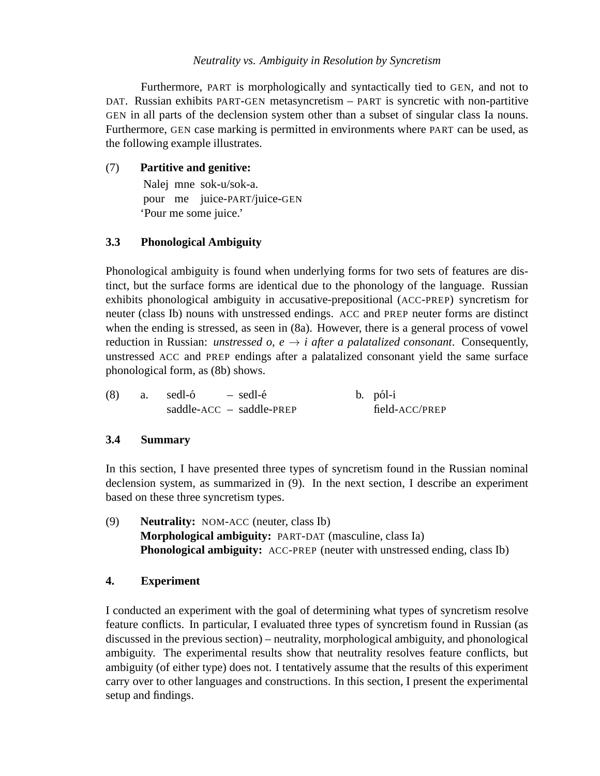## *Neutrality vs. Ambiguity in Resolution by Syncretism*

Furthermore, PART is morphologically and syntactically tied to GEN, and not to DAT. Russian exhibits PART-GEN metasyncretism – PART is syncretic with non-partitive GEN in all parts of the declension system other than a subset of singular class Ia nouns. Furthermore, GEN case marking is permitted in environments where PART can be used, as the following example illustrates.

## (7) **Partitive and genitive:**

Nalej mne sok-u/sok-a. pour me juice-PART/juice-GEN 'Pour me some juice.'

# **3.3 Phonological Ambiguity**

Phonological ambiguity is found when underlying forms for two sets of features are distinct, but the surface forms are identical due to the phonology of the language. Russian exhibits phonological ambiguity in accusative-prepositional (ACC-PREP) syncretism for neuter (class Ib) nouns with unstressed endings. ACC and PREP neuter forms are distinct when the ending is stressed, as seen in (8a). However, there is a general process of vowel reduction in Russian: *unstressed o, e*  $\rightarrow$  *i after a palatalized consonant.* Consequently, unstressed ACC and PREP endings after a palatalized consonant yield the same surface phonological form, as (8b) shows.

| (8) | a. sedl-ó |  | – sedl-é                   |  | b. pól-i       |
|-----|-----------|--|----------------------------|--|----------------|
|     |           |  | $saddle-ACC - saddle-PREF$ |  | field-ACC/PREP |

## **3.4 Summary**

In this section, I have presented three types of syncretism found in the Russian nominal declension system, as summarized in (9). In the next section, I describe an experiment based on these three syncretism types.

(9) **Neutrality:** NOM-ACC (neuter, class Ib) **Morphological ambiguity:** PART-DAT (masculine, class Ia) **Phonological ambiguity:** ACC-PREP (neuter with unstressed ending, class Ib)

## **4. Experiment**

I conducted an experiment with the goal of determining what types of syncretism resolve feature conflicts. In particular, I evaluated three types of syncretism found in Russian (as discussed in the previous section) – neutrality, morphological ambiguity, and phonological ambiguity. The experimental results show that neutrality resolves feature conflicts, but ambiguity (of either type) does not. I tentatively assume that the results of this experiment carry over to other languages and constructions. In this section, I present the experimental setup and findings.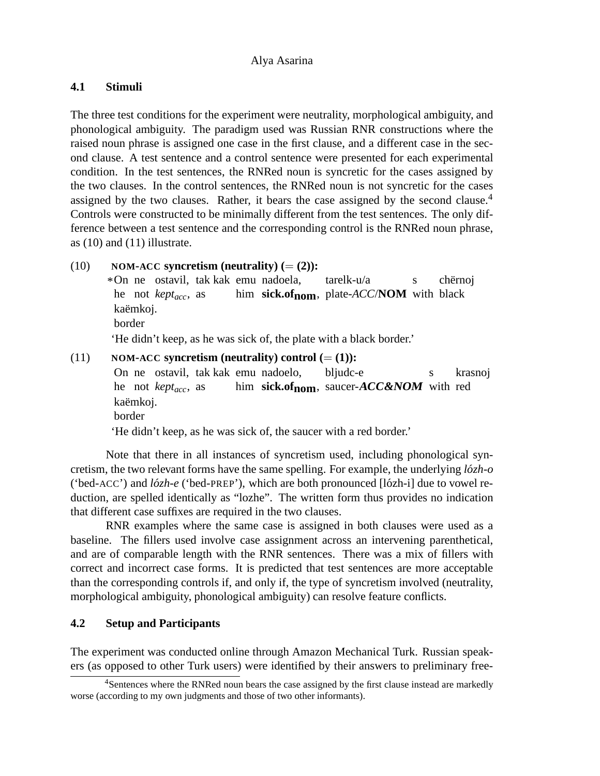# **4.1 Stimuli**

The three test conditions for the experiment were neutrality, morphological ambiguity, and phonological ambiguity. The paradigm used was Russian RNR constructions where the raised noun phrase is assigned one case in the first clause, and a different case in the second clause. A test sentence and a control sentence were presented for each experimental condition. In the test sentences, the RNRed noun is syncretic for the cases assigned by the two clauses. In the control sentences, the RNRed noun is not syncretic for the cases assigned by the two clauses. Rather, it bears the case assigned by the second clause.<sup>4</sup> Controls were constructed to be minimally different from the test sentences. The only difference between a test sentence and the corresponding control is the RNRed noun phrase, as (10) and (11) illustrate.

 $(10)$  **NOM-ACC** syncretism (neutrality)  $(=(2))$ : \*On ne ostavil, tak kak emu nadoela, he not *keptacc*, as him **sick.ofnom**, plate-*ACC*/**NOM** with black tarelk-u/a s chërnoj kaëmkoj. border 'He didn't keep, as he was sick of, the plate with a black border.'  $NOM$ **-** $ACC$  **syncretism (neutrality) control (** $=(1)$ **):** 

On ne ostavil, tak kak emu nadoelo, he not *keptacc*, as him sick.of<sub>nom</sub>, saucer-**ACC&NOM** with red bljudc-e s krasnoj kaëmkoj. border 'He didn't keep, as he was sick of, the saucer with a red border.'

Note that there in all instances of syncretism used, including phonological syncretism, the two relevant forms have the same spelling. For example, the underlying  $l\acute{\sigma}zh-o$ ('bed-ACC') and *lozh-e ´* ('bed-PREP'), which are both pronounced [l´ozh-i] due to vowel reduction, are spelled identically as "lozhe". The written form thus provides no indication that different case suffixes are required in the two clauses.

RNR examples where the same case is assigned in both clauses were used as a baseline. The fillers used involve case assignment across an intervening parenthetical, and are of comparable length with the RNR sentences. There was a mix of fillers with correct and incorrect case forms. It is predicted that test sentences are more acceptable than the corresponding controls if, and only if, the type of syncretism involved (neutrality, morphological ambiguity, phonological ambiguity) can resolve feature conflicts.

# **4.2 Setup and Participants**

The experiment was conducted online through Amazon Mechanical Turk. Russian speakers (as opposed to other Turk users) were identified by their answers to preliminary free-

<sup>4</sup>Sentences where the RNRed noun bears the case assigned by the first clause instead are markedly worse (according to my own judgments and those of two other informants).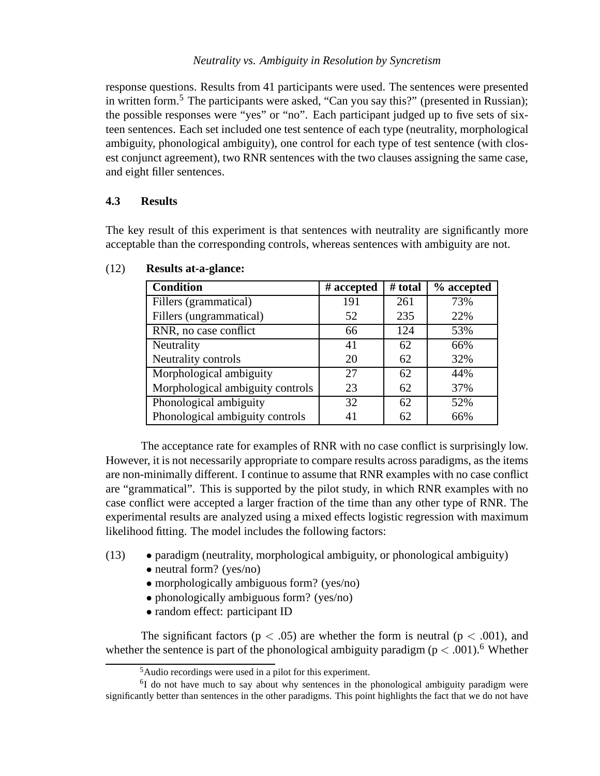#### *Neutrality vs. Ambiguity in Resolution by Syncretism*

response questions. Results from 41 participants were used. The sentences were presented in written form.<sup>5</sup> The participants were asked, "Can you say this?" (presented in Russian); the possible responses were "yes" or "no". Each participant judged up to five sets of sixteen sentences. Each set included one test sentence of each type (neutrality, morphological ambiguity, phonological ambiguity), one control for each type of test sentence (with closest conjunct agreement), two RNR sentences with the two clauses assigning the same case, and eight filler sentences.

## **4.3 Results**

The key result of this experiment is that sentences with neutrality are significantly more acceptable than the corresponding controls, whereas sentences with ambiguity are not.

| <b>Condition</b>                 | $#$ accepted | # total | % accepted |
|----------------------------------|--------------|---------|------------|
| Fillers (grammatical)            | 191          | 261     | 73%        |
| Fillers (ungrammatical)          | 52           | 235     | 22%        |
| RNR, no case conflict            | 66           | 124     | 53%        |
| Neutrality                       | 41           | 62      | 66%        |
| Neutrality controls              | 20           | 62      | 32%        |
| Morphological ambiguity          | 27           | 62      | 44%        |
| Morphological ambiguity controls | 23           | 62      | 37%        |
| Phonological ambiguity           | 32           | 62      | 52%        |
| Phonological ambiguity controls  | 41           | 62      | 66%        |

## (12) **Results at-a-glance:**

The acceptance rate for examples of RNR with no case conflict is surprisingly low. However, it is not necessarily appropriate to compare results across paradigms, as the items are non-minimally different. I continue to assume that RNR examples with no case conflict are "grammatical". This is supported by the pilot study, in which RNR examples with no case conflict were accepted a larger fraction of the time than any other type of RNR. The experimental results are analyzed using a mixed effects logistic regression with maximum likelihood fitting. The model includes the following factors:

- (13) paradigm (neutrality, morphological ambiguity, or phonological ambiguity)
	- neutral form? (yes/no)
	- morphologically ambiguous form? (yes/no)
	- phonologically ambiguous form? (yes/no)
	- random effect: participant ID

The significant factors ( $p < .05$ ) are whether the form is neutral ( $p < .001$ ), and whether the sentence is part of the phonological ambiguity paradigm ( $p < .001$ ).<sup>6</sup> Whether

<sup>5</sup>Audio recordings were used in a pilot for this experiment.

<sup>&</sup>lt;sup>6</sup>I do not have much to say about why sentences in the phonological ambiguity paradigm were significantly better than sentences in the other paradigms. This point highlights the fact that we do not have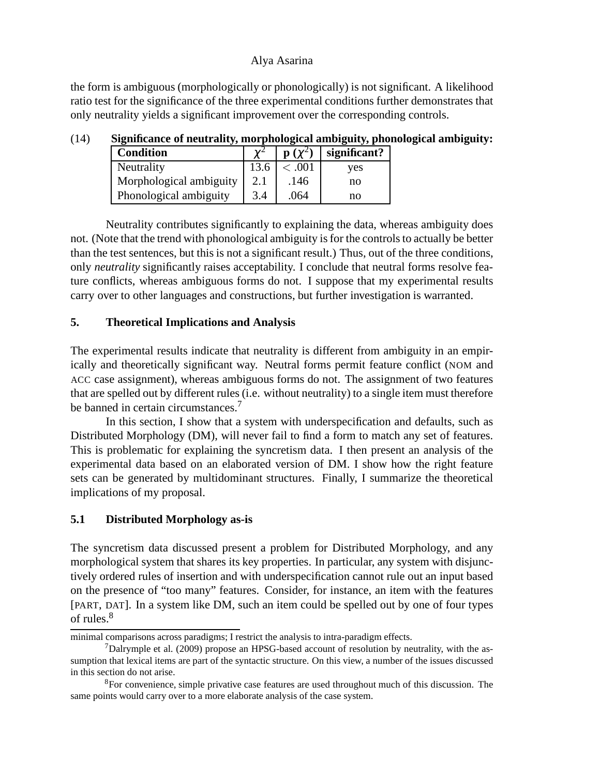the form is ambiguous (morphologically or phonologically) is not significant. A likelihood ratio test for the significance of the three experimental conditions further demonstrates that only neutrality yields a significant improvement over the corresponding controls.

| <b>Condition</b>        |     | $\mathbf{p}(\mathbf{v}^2)$ | significant? |
|-------------------------|-----|----------------------------|--------------|
| Neutrality              |     | <.001                      | ves          |
| Morphological ambiguity |     | .146                       | no           |
| Phonological ambiguity  | 3.4 | .064                       | no           |

## (14) **Significance of neutrality, morphological ambiguity, phonological ambiguity:**

Neutrality contributes significantly to explaining the data, whereas ambiguity does not. (Note that the trend with phonological ambiguity is for the controls to actually be better than the test sentences, but this is not a significant result.) Thus, out of the three conditions, only *neutrality* significantly raises acceptability. I conclude that neutral forms resolve feature conflicts, whereas ambiguous forms do not. I suppose that my experimental results carry over to other languages and constructions, but further investigation is warranted.

#### **5. Theoretical Implications and Analysis**

The experimental results indicate that neutrality is different from ambiguity in an empirically and theoretically significant way. Neutral forms permit feature conflict (NOM and ACC case assignment), whereas ambiguous forms do not. The assignment of two features that are spelled out by different rules (i.e. without neutrality) to a single item must therefore be banned in certain circumstances.<sup>7</sup>

In this section, I show that a system with underspecification and defaults, such as Distributed Morphology (DM), will never fail to find a form to match any set of features. This is problematic for explaining the syncretism data. I then present an analysis of the experimental data based on an elaborated version of DM. I show how the right feature sets can be generated by multidominant structures. Finally, I summarize the theoretical implications of my proposal.

## **5.1 Distributed Morphology as-is**

The syncretism data discussed present a problem for Distributed Morphology, and any morphological system that shares its key properties. In particular, any system with disjunctively ordered rules of insertion and with underspecification cannot rule out an input based on the presence of "too many" features. Consider, for instance, an item with the features [PART, DAT]. In a system like DM, such an item could be spelled out by one of four types of rules.<sup>8</sup>

minimal comparisons across paradigms; I restrict the analysis to intra-paradigm effects.

 $<sup>7</sup>$ Dalrymple et al. (2009) propose an HPSG-based account of resolution by neutrality, with the as-</sup> sumption that lexical items are part of the syntactic structure. On this view, a number of the issues discussed in this section do not arise.

<sup>8</sup>For convenience, simple privative case features are used throughout much of this discussion. The same points would carry over to a more elaborate analysis of the case system.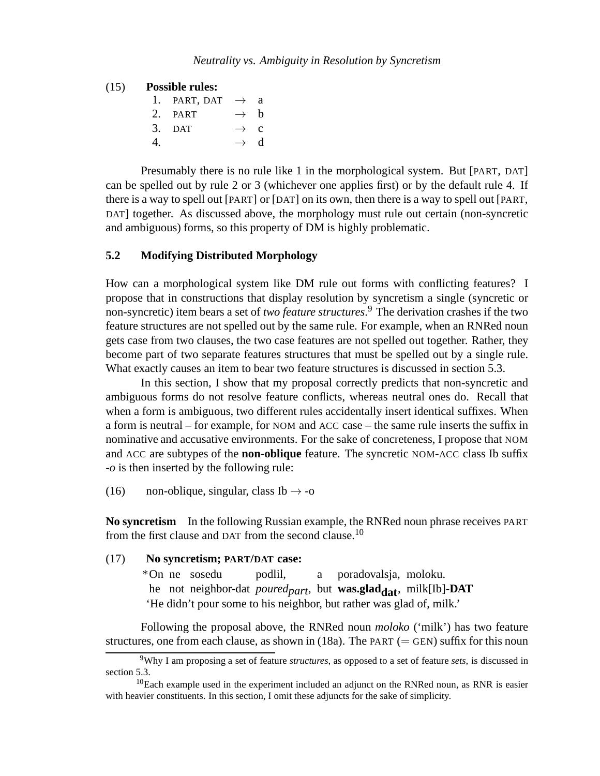#### (15) **Possible rules:**

|                  | 1. PART, DAT $\rightarrow$ a |                 |  |
|------------------|------------------------------|-----------------|--|
|                  | 2. PART                      | $\rightarrow$ h |  |
|                  | $3.$ DAT                     | $\rightarrow$ c |  |
| $\overline{4}$ . |                              | $\rightarrow$ d |  |

Presumably there is no rule like 1 in the morphological system. But [PART, DAT] can be spelled out by rule 2 or 3 (whichever one applies first) or by the default rule 4. If there is a way to spell out [PART] or [DAT] on its own, then there is a way to spell out [PART, DAT] together. As discussed above, the morphology must rule out certain (non-syncretic and ambiguous) forms, so this property of DM is highly problematic.

## **5.2 Modifying Distributed Morphology**

How can a morphological system like DM rule out forms with conflicting features? I propose that in constructions that display resolution by syncretism a single (syncretic or non-syncretic) item bears a set of *two feature structures*. <sup>9</sup> The derivation crashes if the two feature structures are not spelled out by the same rule. For example, when an RNRed noun gets case from two clauses, the two case features are not spelled out together. Rather, they become part of two separate features structures that must be spelled out by a single rule. What exactly causes an item to bear two feature structures is discussed in section 5.3.

In this section, I show that my proposal correctly predicts that non-syncretic and ambiguous forms do not resolve feature conflicts, whereas neutral ones do. Recall that when a form is ambiguous, two different rules accidentally insert identical suffixes. When a form is neutral – for example, for NOM and ACC case – the same rule inserts the suffix in nominative and accusative environments. For the sake of concreteness, I propose that NOM and ACC are subtypes of the **non-oblique** feature. The syncretic NOM-ACC class Ib suffix -*o* is then inserted by the following rule:

(16) non-oblique, singular, class Ib  $\rightarrow$  -o

**No syncretism** In the following Russian example, the RNRed noun phrase receives PART from the first clause and DAT from the second clause.<sup>10</sup>

#### (17) **No syncretism; PART/DAT case:**

\*On ne sosedu he not neighbor-dat *poured<sub>part</sub>*, but **was.glad<sub>dat</sub>**, milk[Ib]-**DAT** podlil, a poradovalsja, moloku. 'He didn't pour some to his neighbor, but rather was glad of, milk.'

Following the proposal above, the RNRed noun *moloko* ('milk') has two feature structures, one from each clause, as shown in (18a). The PART ( $=$  GEN) suffix for this noun

<sup>9</sup>Why I am proposing a set of feature *structures*, as opposed to a set of feature *sets*, is discussed in section 5.3.

 $10$ Each example used in the experiment included an adjunct on the RNRed noun, as RNR is easier with heavier constituents. In this section, I omit these adjuncts for the sake of simplicity.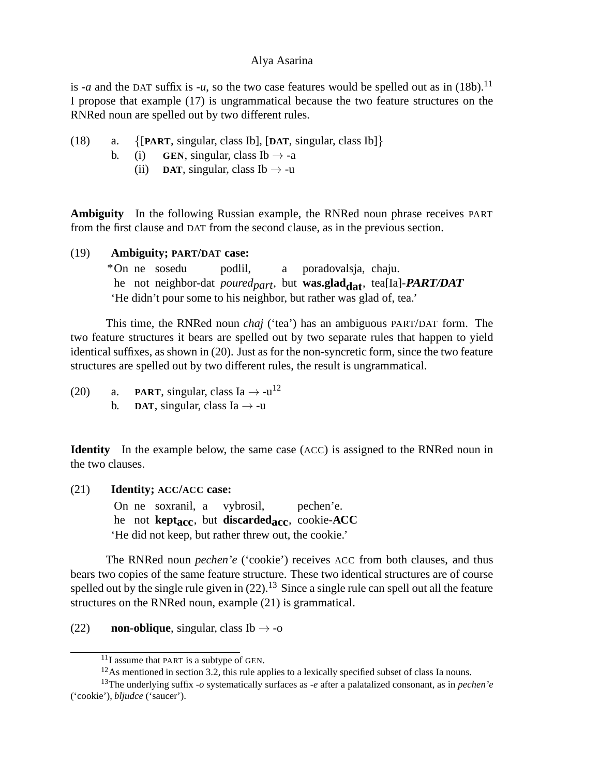is -*a* and the DAT suffix is -*u*, so the two case features would be spelled out as in (18b).<sup>11</sup> I propose that example (17) is ungrammatical because the two feature structures on the RNRed noun are spelled out by two different rules.

- (18) a. {[**PART**, singular, class Ib], [**DAT**, singular, class Ib]}
	- b. (i) **GEN**, singular, class Ib  $\rightarrow$  -a
		- (ii) **DAT**, singular, class Ib  $\rightarrow$  -u

**Ambiguity** In the following Russian example, the RNRed noun phrase receives PART from the first clause and DAT from the second clause, as in the previous section.

#### (19) **Ambiguity; PART/DAT case:**

\*On ne sosedu he not neighbor-dat *poured<sub>part</sub>*, but **was.glad<sub>dat</sub>**, tea[Ia]-**PART/DAT** podlil, a poradovalsja, chaju. 'He didn't pour some to his neighbor, but rather was glad of, tea.'

This time, the RNRed noun *chaj* ('tea') has an ambiguous PART/DAT form. The two feature structures it bears are spelled out by two separate rules that happen to yield identical suffixes, as shown in (20). Just as for the non-syncretic form, since the two feature structures are spelled out by two different rules, the result is ungrammatical.

(20) a. **PART**, singular, class Ia  $\rightarrow$  -u<sup>12</sup> b. **DAT**, singular, class Ia  $\rightarrow$  -u

**Identity** In the example below, the same case (ACC) is assigned to the RNRed noun in the two clauses.

(21) **Identity; ACC/ACC case:**

On ne soxranil, a he not **keptacc**, but **discardedacc**, cookie-**ACC** vybrosil, pechen'e. 'He did not keep, but rather threw out, the cookie.'

The RNRed noun *pechen'e* ('cookie') receives ACC from both clauses, and thus bears two copies of the same feature structure. These two identical structures are of course spelled out by the single rule given in  $(22)$ .<sup>13</sup> Since a single rule can spell out all the feature structures on the RNRed noun, example (21) is grammatical.

(22) **non-oblique**, singular, class Ib  $\rightarrow$  -o

 $11$ I assume that PART is a subtype of GEN.

 $12$ As mentioned in section 3.2, this rule applies to a lexically specified subset of class Ia nouns.

<sup>13</sup>The underlying suffix -*o* systematically surfaces as -*e* after a palatalized consonant, as in *pechen'e* ('cookie'), *bljudce* ('saucer').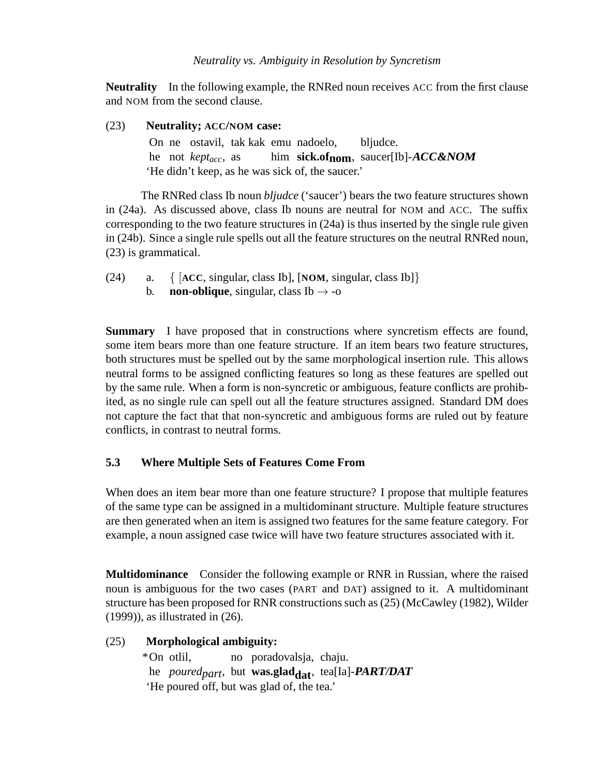**Neutrality** In the following example, the RNRed noun receives ACC from the first clause and NOM from the second clause.

## (23) **Neutrality; ACC/NOM case:**

On ne ostavil, tak kak emu nadoelo, he not *keptacc*, as him **sick.ofnom**, saucer[Ib]-**ACC&NOM** bliudce. 'He didn't keep, as he was sick of, the saucer.'

The RNRed class Ib noun *bljudce* ('saucer') bears the two feature structures shown in (24a). As discussed above, class Ib nouns are neutral for NOM and ACC. The suffix corresponding to the two feature structures in (24a) is thus inserted by the single rule given in (24b). Since a single rule spells out all the feature structures on the neutral RNRed noun, (23) is grammatical.

- (24) a. { [**ACC**, singular, class Ib], [**NOM**, singular, class Ib]}
	- b. **non-oblique**, singular, class Ib  $\rightarrow$  -0

**Summary** I have proposed that in constructions where syncretism effects are found, some item bears more than one feature structure. If an item bears two feature structures, both structures must be spelled out by the same morphological insertion rule. This allows neutral forms to be assigned conflicting features so long as these features are spelled out by the same rule. When a form is non-syncretic or ambiguous, feature conflicts are prohibited, as no single rule can spell out all the feature structures assigned. Standard DM does not capture the fact that that non-syncretic and ambiguous forms are ruled out by feature conflicts, in contrast to neutral forms.

# **5.3 Where Multiple Sets of Features Come From**

When does an item bear more than one feature structure? I propose that multiple features of the same type can be assigned in a multidominant structure. Multiple feature structures are then generated when an item is assigned two features for the same feature category. For example, a noun assigned case twice will have two feature structures associated with it.

**Multidominance** Consider the following example or RNR in Russian, where the raised noun is ambiguous for the two cases (PART and DAT) assigned to it. A multidominant structure has been proposed for RNR constructions such as (25) (McCawley (1982), Wilder (1999)), as illustrated in (26).

# (25) **Morphological ambiguity:**

\*On otlil, he *poured<sub>part</sub>*, but **was.glad<sub>dat</sub>**, tea[Ia]-**PART/DAT** no poradovalsja, chaju. 'He poured off, but was glad of, the tea.'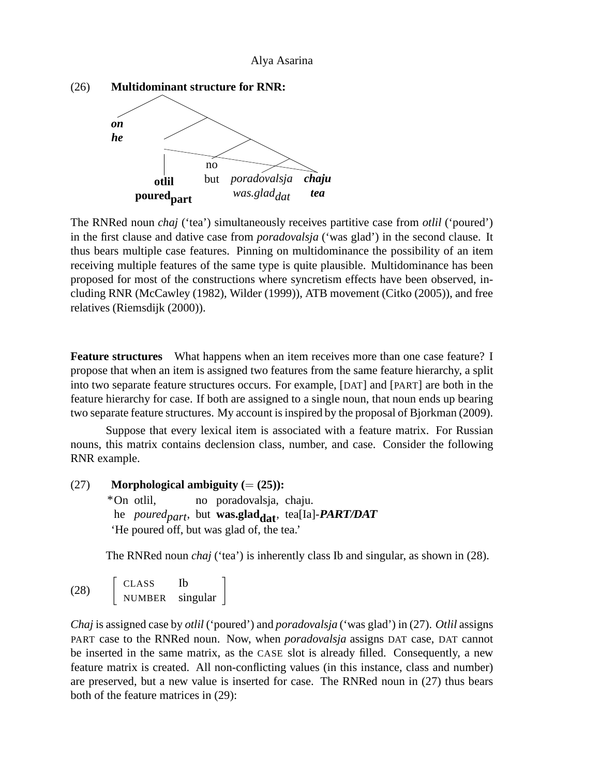

The RNRed noun *chaj* ('tea') simultaneously receives partitive case from *otlil* ('poured') in the first clause and dative case from *poradovalsja* ('was glad') in the second clause. It thus bears multiple case features. Pinning on multidominance the possibility of an item receiving multiple features of the same type is quite plausible. Multidominance has been proposed for most of the constructions where syncretism effects have been observed, including RNR (McCawley (1982), Wilder (1999)), ATB movement (Citko (2005)), and free relatives (Riemsdijk (2000)).

**Feature structures** What happens when an item receives more than one case feature? I propose that when an item is assigned two features from the same feature hierarchy, a split into two separate feature structures occurs. For example, [DAT] and [PART] are both in the feature hierarchy for case. If both are assigned to a single noun, that noun ends up bearing two separate feature structures. My account is inspired by the proposal of Bjorkman (2009).

Suppose that every lexical item is associated with a feature matrix. For Russian nouns, this matrix contains declension class, number, and case. Consider the following RNR example.

```
(27) Morphological ambiguity (= (25)):
```
\*On otlil, he *poured<sub>part</sub>*, but **was.glad<sub>dat</sub>**, tea[Ia]-**PART/DAT** no poradovalsja, chaju. 'He poured off, but was glad of, the tea.'

The RNRed noun *chaj* ('tea') is inherently class Ib and singular, as shown in (28).

(28) CLASS Ib NUMBER singular

*Chaj* is assigned case by *otlil* ('poured') and *poradovalsja* ('was glad') in (27). *Otlil* assigns PART case to the RNRed noun. Now, when *poradovalsja* assigns DAT case, DAT cannot be inserted in the same matrix, as the CASE slot is already filled. Consequently, a new feature matrix is created. All non-conflicting values (in this instance, class and number) are preserved, but a new value is inserted for case. The RNRed noun in (27) thus bears both of the feature matrices in (29):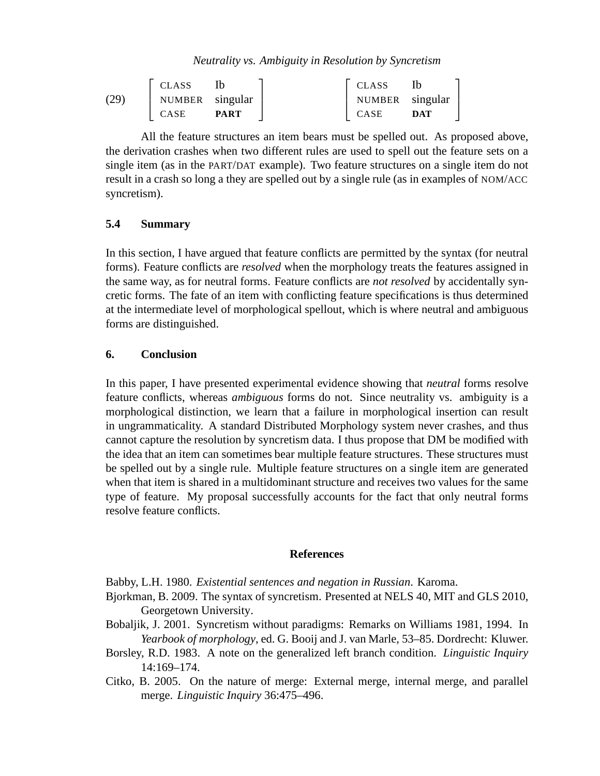*Neutrality vs. Ambiguity in Resolution by Syncretism*

|      | <b>CLASS</b>    |             | <b>CLASS</b>    |     |
|------|-----------------|-------------|-----------------|-----|
| (29) | NUMBER singular |             | NUMBER singular |     |
|      | <b>CASE</b>     | <b>PART</b> | CASE            | DAT |

All the feature structures an item bears must be spelled out. As proposed above, the derivation crashes when two different rules are used to spell out the feature sets on a single item (as in the PART/DAT example). Two feature structures on a single item do not result in a crash so long a they are spelled out by a single rule (as in examples of NOM/ACC syncretism).

## **5.4 Summary**

In this section, I have argued that feature conflicts are permitted by the syntax (for neutral forms). Feature conflicts are *resolved* when the morphology treats the features assigned in the same way, as for neutral forms. Feature conflicts are *not resolved* by accidentally syncretic forms. The fate of an item with conflicting feature specifications is thus determined at the intermediate level of morphological spellout, which is where neutral and ambiguous forms are distinguished.

## **6. Conclusion**

In this paper, I have presented experimental evidence showing that *neutral* forms resolve feature conflicts, whereas *ambiguous* forms do not. Since neutrality vs. ambiguity is a morphological distinction, we learn that a failure in morphological insertion can result in ungrammaticality. A standard Distributed Morphology system never crashes, and thus cannot capture the resolution by syncretism data. I thus propose that DM be modified with the idea that an item can sometimes bear multiple feature structures. These structures must be spelled out by a single rule. Multiple feature structures on a single item are generated when that item is shared in a multidominant structure and receives two values for the same type of feature. My proposal successfully accounts for the fact that only neutral forms resolve feature conflicts.

#### **References**

Babby, L.H. 1980. *Existential sentences and negation in Russian*. Karoma.

- Bjorkman, B. 2009. The syntax of syncretism. Presented at NELS 40, MIT and GLS 2010, Georgetown University.
- Bobaljik, J. 2001. Syncretism without paradigms: Remarks on Williams 1981, 1994. In *Yearbook of morphology*, ed. G. Booij and J. van Marle, 53–85. Dordrecht: Kluwer.
- Borsley, R.D. 1983. A note on the generalized left branch condition. *Linguistic Inquiry* 14:169–174.
- Citko, B. 2005. On the nature of merge: External merge, internal merge, and parallel merge. *Linguistic Inquiry* 36:475–496.